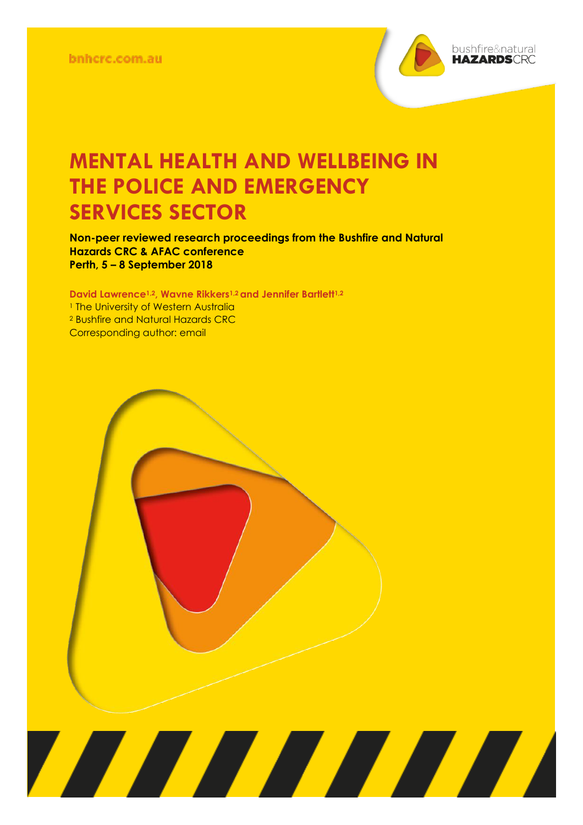

## **MENTAL HEALTH AND WELLBEING IN THE POLICE AND EMERGENCY SERVICES SECTOR**

**Non-peer reviewed research proceedings from the Bushfire and Natural Hazards CRC & AFAC conference Perth, 5 – 8 September 2018**

**David Lawrence1,2, Wavne Rikkers1,2 and Jennifer Bartlett1,2** <sup>1</sup> The University of Western Australia <sup>2</sup> Bushfire and Natural Hazards CRC Corresponding author: email

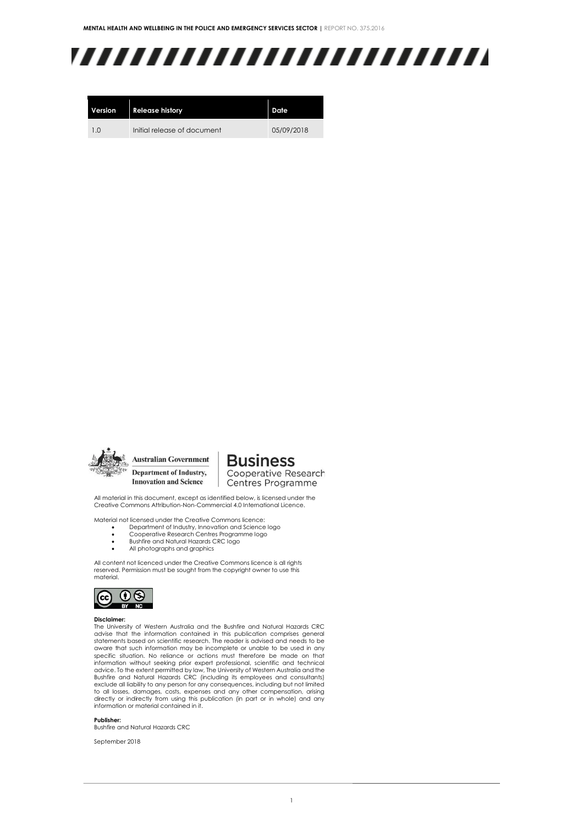# ,,,,,,,,,,,,,,,,,,,,,,,,,

| Version | <b>Release history</b>      | Date       |
|---------|-----------------------------|------------|
| 1.0     | Initial release of document | 05/09/2018 |



**Australian Government** Department of Industry, **Innovation and Science** 

**Business** Cooperative Research

Centres Programme

All material in this document, except as identified below, is licensed under the Creative Commons Attribution-Non-Commercial 4.0 International Licence.

Material not licensed under the Creative Commons licence:

- Department of Industry, Innovation and Science logo Cooperative Research Centres Programme logo
- Bushfire and Natural Hazards CRC logo
- All photographs and graphics

All content not licenced under the Creative Commons licence is all rights reserved. Permission must be sought from the copyright owner to use this material.



#### **Disclaimer:**

The University of Western Australia and the Bushfire and Natural Hazards CRC advise that the information contained in this publication comprises general statements based on scientific research. The reader is advised and needs to be aware that such information may be incomplete or unable to be used in any specific situation. No reliance or actions must therefore be made on that information without seeking prior expert professional, scientific and technical advice. To the extent permitted by law, The University of Western Australia and the Bushfire and Natural Hazards CRC (including its employees and consultants) exclude all liability to any person for any consequences, including but not limited to all losses, damages, costs, expenses and any other compensation, arising directly or indirectly from using this publication (in part or in whole) and any information or material contained in it.

#### **Publisher:**

Bushfire and Natural Hazards CRC

September 2018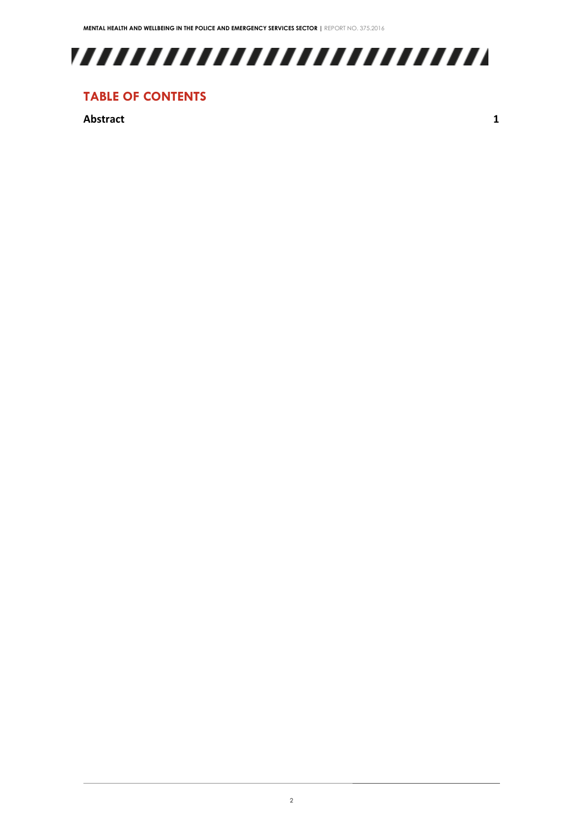

### **TABLE OF CONTENTS**

**[Abstract](#page-3-0) 1**